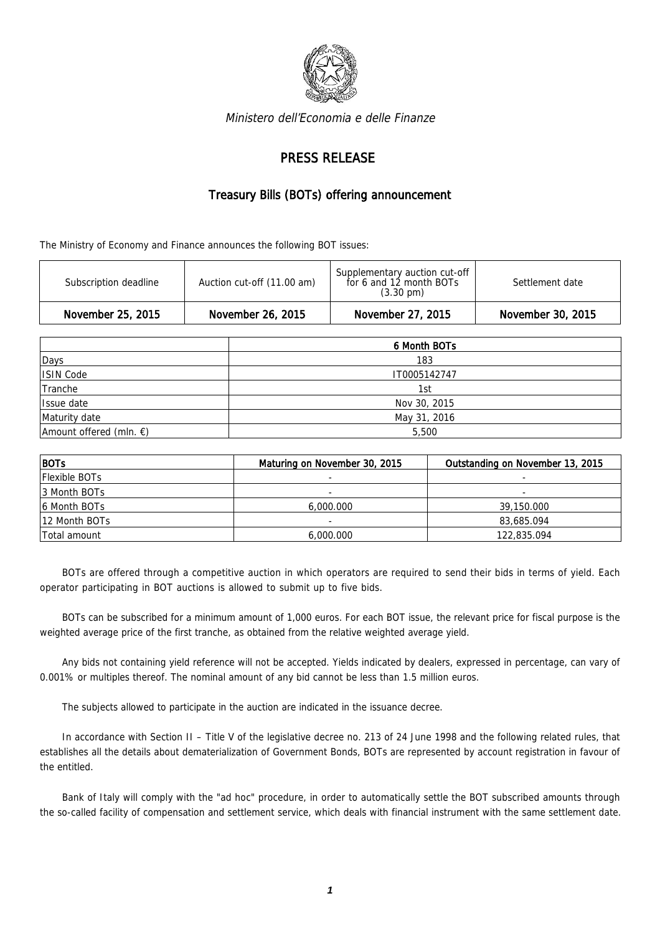

Ministero dell'Economia e delle Finanze

## PRESS RELEASE

## Treasury Bills (BOTs) offering announcement

The Ministry of Economy and Finance announces the following BOT issues:

| Subscription deadline | Auction cut-off (11.00 am) | Supplementary auction cut-off<br>for 6 and 12 month BOTs<br>$(3.30 \text{ pm})$ | Settlement date   |
|-----------------------|----------------------------|---------------------------------------------------------------------------------|-------------------|
| November 25, 2015     | November 26, 2015          | November 27, 2015                                                               | November 30, 2015 |

|                                   | 6 Month BOTs |  |  |
|-----------------------------------|--------------|--|--|
| Days                              | 183          |  |  |
| ISIN Code                         | IT0005142747 |  |  |
| Tranche                           | 1st          |  |  |
| Issue date                        | Nov 30, 2015 |  |  |
| Maturity date                     | May 31, 2016 |  |  |
| Amount offered (mln. $\epsilon$ ) | 5,500        |  |  |

| BOTs          | Maturing on November 30, 2015 | Outstanding on November 13, 2015 |  |
|---------------|-------------------------------|----------------------------------|--|
| Flexible BOTs |                               |                                  |  |
| 3 Month BOTs  |                               |                                  |  |
| 16 Month BOTs | 6,000,000                     | 39,150.000                       |  |
| 12 Month BOTs | -                             | 83,685.094                       |  |
| Total amount  | 6,000,000                     | 122,835.094                      |  |

BOTs are offered through a competitive auction in which operators are required to send their bids in terms of yield. Each operator participating in BOT auctions is allowed to submit up to five bids.

BOTs can be subscribed for a minimum amount of 1,000 euros. For each BOT issue, the relevant price for fiscal purpose is the weighted average price of the first tranche, as obtained from the relative weighted average yield.

Any bids not containing yield reference will not be accepted. Yields indicated by dealers, expressed in percentage, can vary of 0.001% or multiples thereof. The nominal amount of any bid cannot be less than 1.5 million euros.

The subjects allowed to participate in the auction are indicated in the issuance decree.

In accordance with Section II – Title V of the legislative decree no. 213 of 24 June 1998 and the following related rules, that establishes all the details about dematerialization of Government Bonds, BOTs are represented by account registration in favour of the entitled.

Bank of Italy will comply with the "ad hoc" procedure, in order to automatically settle the BOT subscribed amounts through the so-called facility of compensation and settlement service, which deals with financial instrument with the same settlement date.